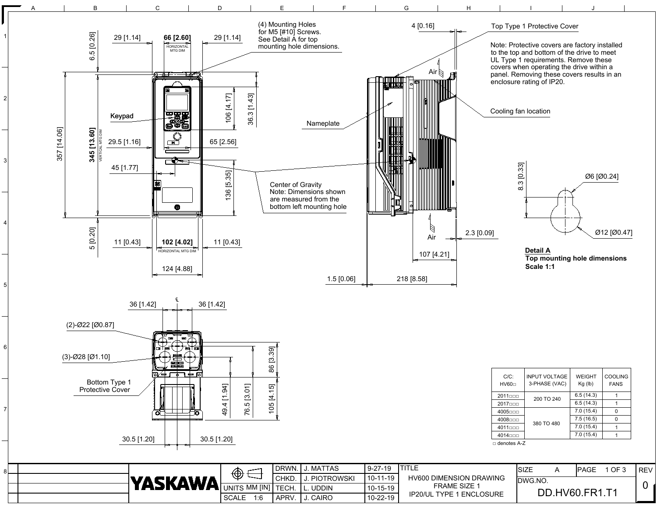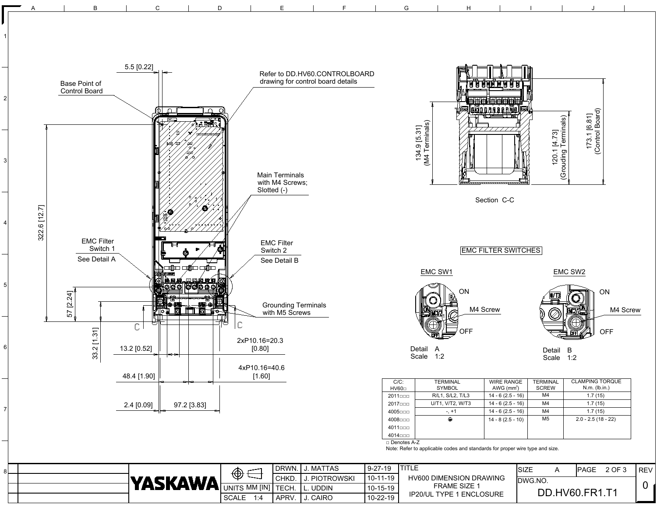